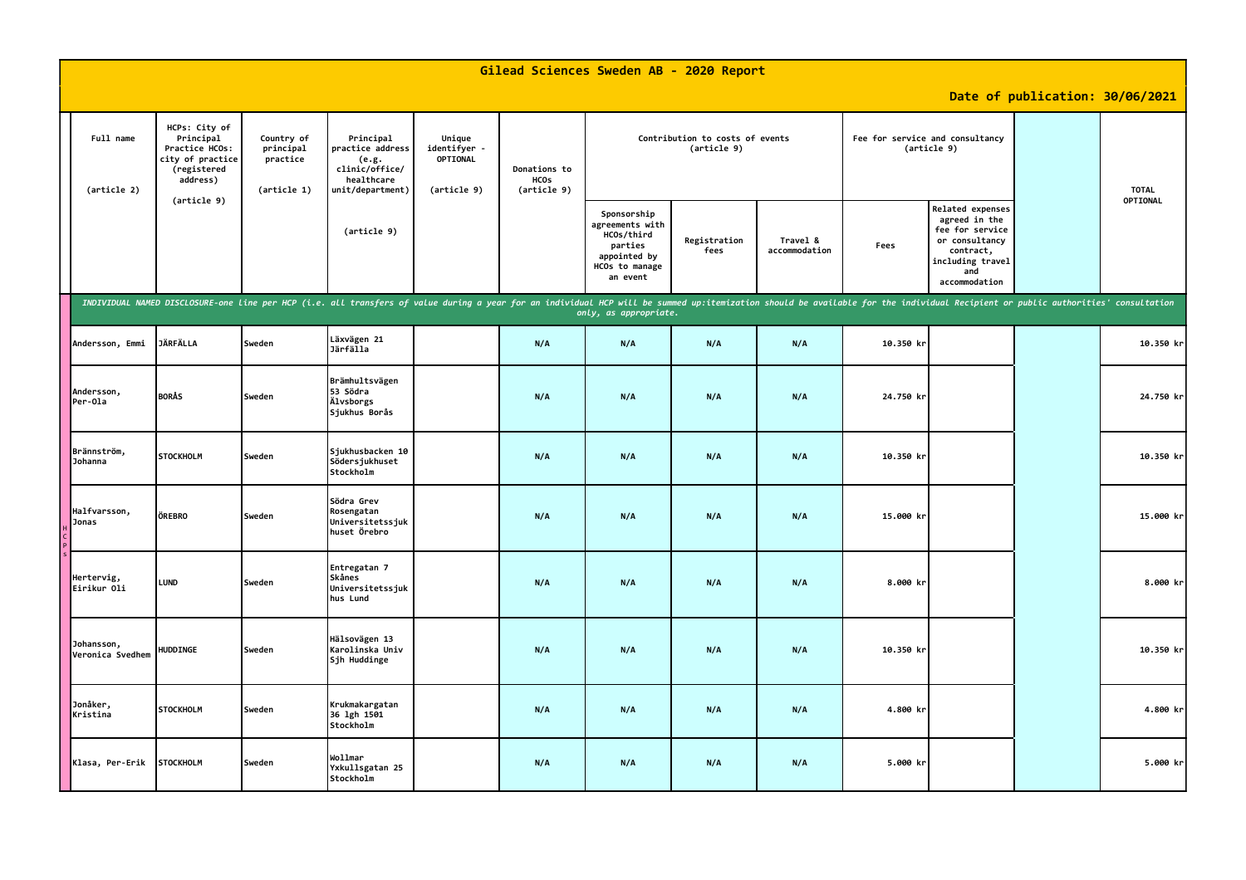| Gilead Sciences Sweden AB - 2020 Report |                                                                                             |                                                    |                                                                                                                                                                                                                                |                                                   |                                            |                                                                                                       |                      |                           |           |                                                                                                                                        |                                 |              |
|-----------------------------------------|---------------------------------------------------------------------------------------------|----------------------------------------------------|--------------------------------------------------------------------------------------------------------------------------------------------------------------------------------------------------------------------------------|---------------------------------------------------|--------------------------------------------|-------------------------------------------------------------------------------------------------------|----------------------|---------------------------|-----------|----------------------------------------------------------------------------------------------------------------------------------------|---------------------------------|--------------|
|                                         |                                                                                             |                                                    |                                                                                                                                                                                                                                |                                                   |                                            |                                                                                                       |                      |                           |           |                                                                                                                                        | Date of publication: 30/06/2021 |              |
| Full name<br>(article 2)                | HCPs: City of<br>Principal<br>Practice HCOs:<br>city of practice<br>(registered<br>address) | Country of<br>principal<br>practice<br>(article 1) | Principal<br>practice address<br>(e.g.<br>clinic/office/<br>healthcare<br>unit/department)                                                                                                                                     | Unique<br>identifyer -<br>OPTIONAL<br>(article 9) | Donations to<br><b>HCOS</b><br>(article 9) | Contribution to costs of events<br>(article 9)                                                        |                      |                           |           | Fee for service and consultancy<br>(article 9)                                                                                         |                                 | <b>TOTAL</b> |
|                                         | (article 9)                                                                                 |                                                    | (article 9)                                                                                                                                                                                                                    |                                                   |                                            | Sponsorship<br>agreements with<br>HCOs/third<br>parties<br>appointed by<br>HCOs to manage<br>an event | Registration<br>fees | Travel &<br>accommodation | Fees      | <b>Related expenses</b><br>agreed in the<br>fee for service<br>or consultancy<br>contract,<br>including travel<br>and<br>accommodation |                                 | OPTIONAL     |
|                                         |                                                                                             |                                                    | INDIVIDUAL NAMED DISCLOSURE-one line per HCP (i.e. all transfers of value during a year for an individual HCP will be summed up:itemization should be available for the individual Recipient or public authorities' consultati |                                                   |                                            | only, as appropriate.                                                                                 |                      |                           |           |                                                                                                                                        |                                 |              |
| Andersson, Emmi                         | <b>JÄRFÄLLA</b>                                                                             | Sweden                                             | Läxvägen 21<br>Järfälla                                                                                                                                                                                                        |                                                   | N/A                                        | N/A                                                                                                   | N/A                  | N/A                       | 10.350 kr |                                                                                                                                        |                                 | $10.350$ kr  |
| Andersson,<br>Per-Ola                   | <b>BORÅS</b>                                                                                | Sweden                                             | Brämhultsvägen<br>53 Södra<br>Älvsborgs<br>Siukhus Borås                                                                                                                                                                       |                                                   | N/A                                        | N/A                                                                                                   | N/A                  | N/A                       | 24.750 kr |                                                                                                                                        |                                 | 24.750 kr    |
| Brännström,<br>Johanna                  | <b>STOCKHOLM</b>                                                                            | Sweden                                             | Sjukhusbacken 10<br>Södersjukhuset<br><b>Stockholm</b>                                                                                                                                                                         |                                                   | N/A                                        | N/A                                                                                                   | N/A                  | N/A                       | 10.350 kr |                                                                                                                                        |                                 | 10.350 kr    |
| Halfvarsson,<br><b>Jonas</b>            | ÖREBRO                                                                                      | Sweden                                             | Södra Grev<br>Rosengatan<br>Universitetssjuk<br>huset Örebro                                                                                                                                                                   |                                                   | N/A                                        | N/A                                                                                                   | N/A                  | N/A                       | 15.000 kr |                                                                                                                                        |                                 | 15.000 kr    |
| Hertervig,<br>Eirikur 01i               | <b>LUND</b>                                                                                 | Sweden                                             | Entregatan 7<br>Skånes<br>Universitetssjuk<br>hus Lund                                                                                                                                                                         |                                                   | N/A                                        | N/A                                                                                                   | N/A                  | N/A                       | 8.000 kr  |                                                                                                                                        |                                 | 8.000 kr     |
| Johansson,<br>Veronica Svedhem          | HUDDINGE                                                                                    | Sweden                                             | Hälsovägen 13<br>Karolinska Univ<br>Sjh Huddinge                                                                                                                                                                               |                                                   | N/A                                        | N/A                                                                                                   | N/A                  | N/A                       | 10.350 kr |                                                                                                                                        |                                 | 10.350 kr    |
| Jonåker,<br>Kristina                    | <b>STOCKHOLM</b>                                                                            | Sweden                                             | Krukmakargatan<br>36 lgh 1501<br>Stockholm                                                                                                                                                                                     |                                                   | N/A                                        | N/A                                                                                                   | N/A                  | N/A                       | 4.800 kr  |                                                                                                                                        |                                 | 4.800 kr     |
| Klasa, Per-Erik                         | <b>STOCKHOLM</b>                                                                            | Sweden                                             | Wollmar<br>Yxkullsgatan 25<br>Stockholm                                                                                                                                                                                        |                                                   | N/A                                        | N/A                                                                                                   | N/A                  | N/A                       | 5.000 kr  |                                                                                                                                        |                                 | 5.000 kr     |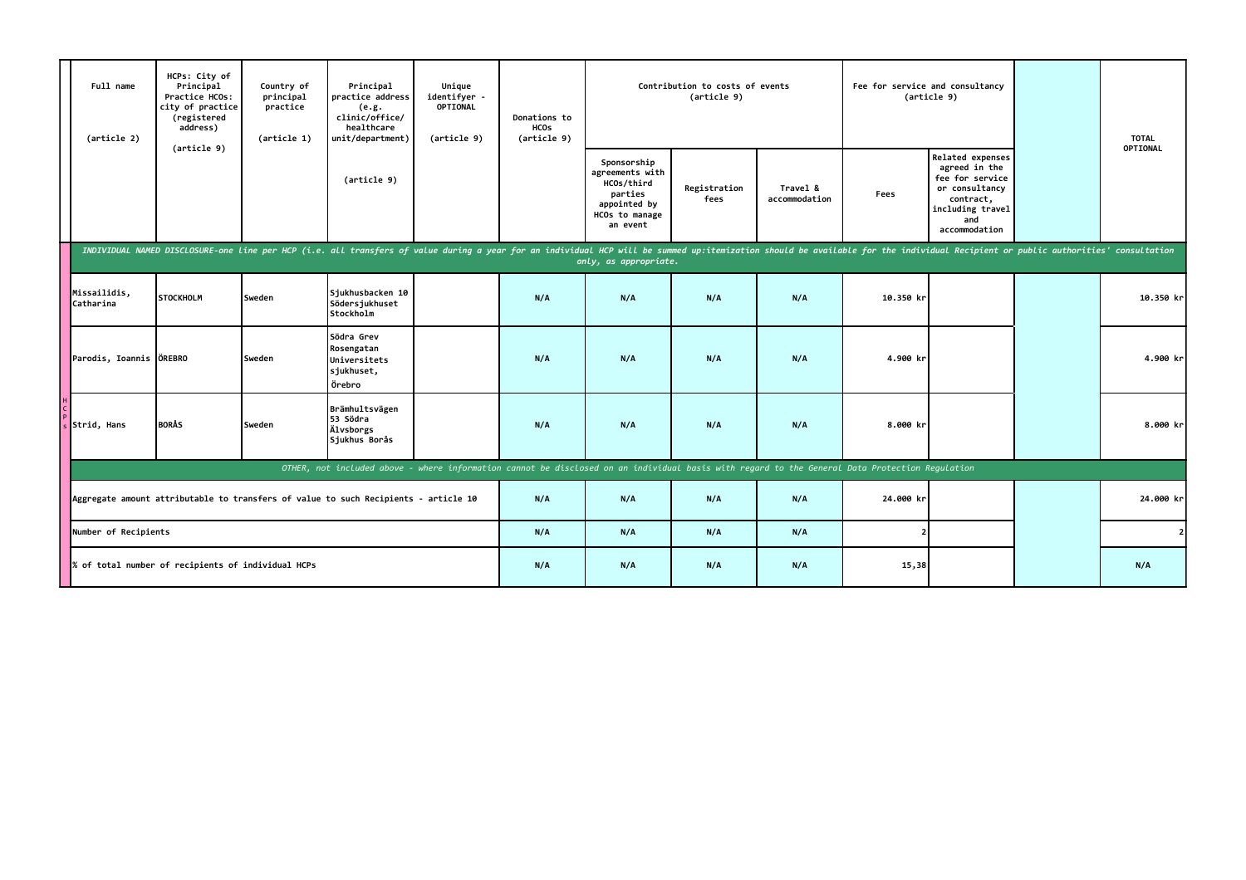|                                                                                     | Full name<br>(article 2)  | HCPs: City of<br>Principal<br>Practice HCOs:<br>city of practice<br>(registered<br>address) | Country of<br>principal<br>practice<br>(article 1) | Principal<br>practice address<br>(e.g.<br>clinic/office/<br>healthcare<br>unit/department)                                                                                                                                     | Unique<br>identifyer -<br>OPTIONAL<br>(article 9) | Donations to<br><b>HCOs</b><br>(article 9) |                                                                                                       | Contribution to costs of events<br>(article 9) |                           |           | Fee for service and consultancy<br>(article 9)                                                                                  | <b>TOTAL</b> |
|-------------------------------------------------------------------------------------|---------------------------|---------------------------------------------------------------------------------------------|----------------------------------------------------|--------------------------------------------------------------------------------------------------------------------------------------------------------------------------------------------------------------------------------|---------------------------------------------------|--------------------------------------------|-------------------------------------------------------------------------------------------------------|------------------------------------------------|---------------------------|-----------|---------------------------------------------------------------------------------------------------------------------------------|--------------|
|                                                                                     |                           | (article 9)                                                                                 |                                                    | (article 9)                                                                                                                                                                                                                    |                                                   |                                            | Sponsorship<br>agreements with<br>HCOs/third<br>parties<br>appointed by<br>HCOs to manage<br>an event | Registration<br>fees                           | Travel &<br>accommodation | Fees      | Related expenses<br>agreed in the<br>fee for service<br>or consultancy<br>contract,<br>including travel<br>and<br>accommodation | OPTIONAL     |
|                                                                                     |                           |                                                                                             |                                                    | INDIVIDUAL NAMED DISCLOSURE-one line per HCP (i.e. all transfers of value during a year for an individual HCP will be summed up:itemization should be available for the individual Recipient or public authorities' consultati |                                                   |                                            | only, as appropriate.                                                                                 |                                                |                           |           |                                                                                                                                 |              |
|                                                                                     | Missailidis,<br>Catharina | <b>STOCKHOLM</b>                                                                            | Sweden                                             | Sjukhusbacken 10<br>Södersjukhuset<br>Stockholm                                                                                                                                                                                |                                                   | N/A                                        | N/A                                                                                                   | N/A                                            | N/A                       | 10.350 kr |                                                                                                                                 | 10.350 kr    |
|                                                                                     | Parodis, Ioannis ÖREBRO   |                                                                                             | Sweden                                             | Södra Grev<br>Rosengatan<br>Universitets<br>sjukhuset,<br>Örebro                                                                                                                                                               |                                                   | N/A                                        | N/A                                                                                                   | N/A                                            | N/A                       | 4.900 kr  |                                                                                                                                 | 4.900 kr     |
|                                                                                     | $s$ Strid, Hans           | <b>BORÅS</b>                                                                                | Sweden                                             | Brämhultsvägen<br>53 Södra<br>Älvsborgs<br>Sjukhus Borås                                                                                                                                                                       |                                                   | N/A                                        | N/A                                                                                                   | N/A                                            | N/A                       | 8.000 kr  |                                                                                                                                 | 8.000 kr     |
|                                                                                     |                           |                                                                                             |                                                    | OTHER, not included above - where information cannot be disclosed on an individual basis with regard to the General Data Protection Regulation                                                                                 |                                                   |                                            |                                                                                                       |                                                |                           |           |                                                                                                                                 |              |
| Aggregate amount attributable to transfers of value to such Recipients - article 10 |                           |                                                                                             |                                                    |                                                                                                                                                                                                                                |                                                   | N/A                                        | N/A                                                                                                   | N/A                                            | N/A                       | 24.000 kr |                                                                                                                                 | 24.000 kr    |
| Number of Recipients<br>% of total number of recipients of individual HCPs          |                           |                                                                                             |                                                    |                                                                                                                                                                                                                                | N/A                                               | N/A                                        | N/A                                                                                                   | N/A                                            |                           |           | $\overline{2}$                                                                                                                  |              |
|                                                                                     |                           |                                                                                             |                                                    |                                                                                                                                                                                                                                | N/A                                               | N/A                                        | N/A                                                                                                   | N/A                                            | 15,38                     |           | N/A                                                                                                                             |              |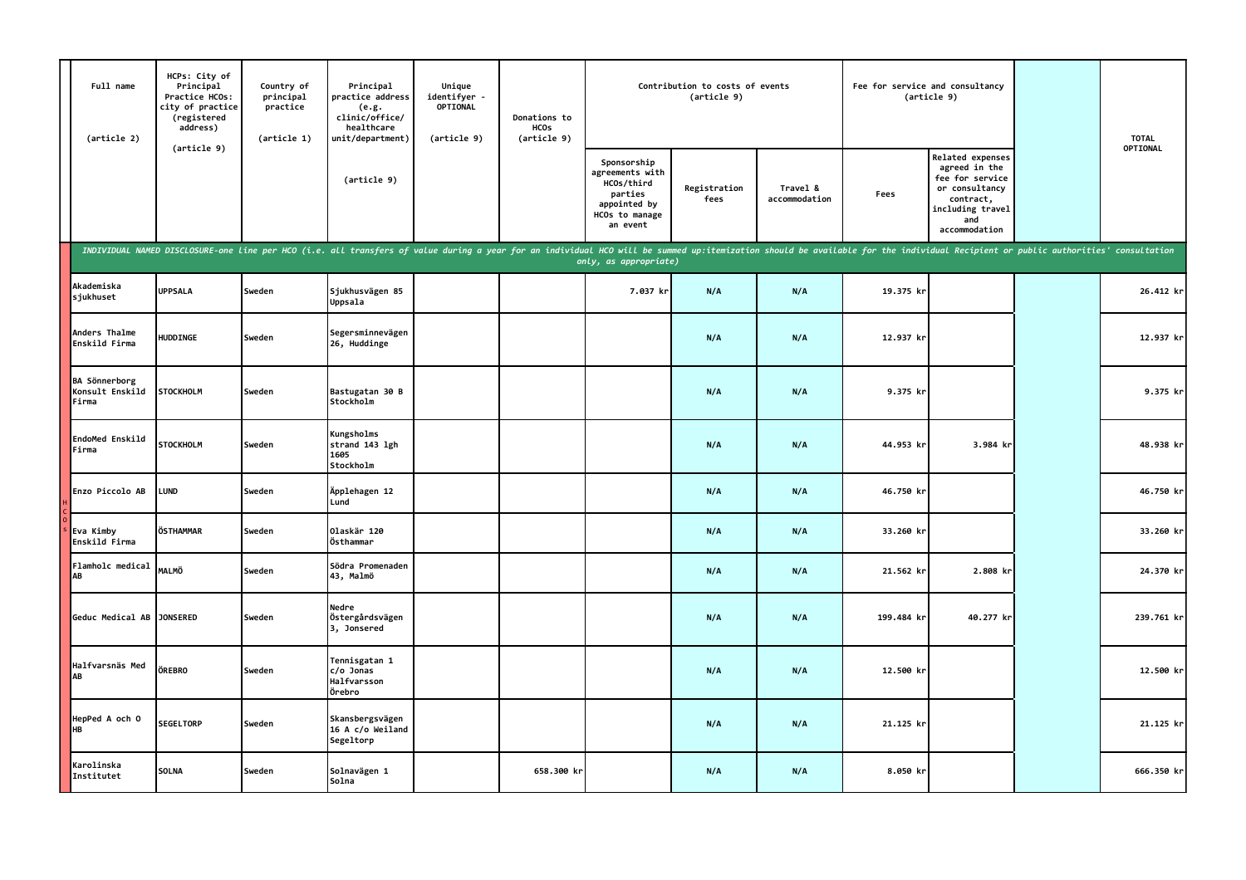| Full name<br>(article 2)                         | HCPs: City of<br>Principal<br>Practice HCOs:<br>city of practice<br>(registered<br>address) | Country of<br>principal<br>practice<br>(article 1) | Principal<br>practice address<br>(e.g.<br>clinic/office/<br>healthcare<br>unit/department)                                                                                                                                     | Unique<br>identifyer -<br><b>OPTIONAL</b><br>(article 9) | Donations to<br><b>HCOs</b><br>(article 9) |                                                                                                       | Contribution to costs of events<br>(article 9) |                           |            | Fee for service and consultancy<br>(article 9)                                                                                  | <b>TOTAL</b><br>OPTIONAL |
|--------------------------------------------------|---------------------------------------------------------------------------------------------|----------------------------------------------------|--------------------------------------------------------------------------------------------------------------------------------------------------------------------------------------------------------------------------------|----------------------------------------------------------|--------------------------------------------|-------------------------------------------------------------------------------------------------------|------------------------------------------------|---------------------------|------------|---------------------------------------------------------------------------------------------------------------------------------|--------------------------|
|                                                  | (article 9)                                                                                 |                                                    | (article 9)                                                                                                                                                                                                                    |                                                          |                                            | Sponsorship<br>agreements with<br>HCOs/third<br>parties<br>appointed by<br>HCOs to manage<br>an event | Registration<br>fees                           | Travel &<br>accommodation | Fees       | Related expenses<br>agreed in the<br>fee for service<br>or consultancy<br>contract,<br>including travel<br>and<br>accommodation |                          |
|                                                  |                                                                                             |                                                    | INDIVIDUAL NAMED DISCLOSURE-one line per HCO (i.e. all transfers of value during a year for an individual HCO will be summed up:itemization should be available for the individual Recipient or public authorities' consultati |                                                          |                                            | only, as appropriate)                                                                                 |                                                |                           |            |                                                                                                                                 |                          |
| Akademiska<br>sjukhuset                          | <b>UPPSALA</b>                                                                              | Sweden                                             | Sjukhusvägen 85<br>Uppsala                                                                                                                                                                                                     |                                                          |                                            | 7.037 kr                                                                                              | N/A                                            | N/A                       | 19.375 kr  |                                                                                                                                 | 26.412 kr                |
| Anders Thalme<br>Enskild Firma                   | <b>HUDDINGE</b>                                                                             | Sweden                                             | Segersminnevägen<br>26, Huddinge                                                                                                                                                                                               |                                                          |                                            |                                                                                                       | N/A                                            | N/A                       | 12.937 kr  |                                                                                                                                 | 12.937 kr                |
| <b>BA Sönnerborg</b><br>Konsult Enskild<br>Firma | <b>STOCKHOLM</b>                                                                            | Sweden                                             | Bastugatan 30 B<br>Stockholm                                                                                                                                                                                                   |                                                          |                                            |                                                                                                       | N/A                                            | N/A                       | 9.375 kr   |                                                                                                                                 | 9.375 kr                 |
| EndoMed Enskild<br>Firma                         | <b>STOCKHOLM</b>                                                                            | Sweden                                             | Kungsholms<br>strand 143 lgh<br>1605<br>Stockholm                                                                                                                                                                              |                                                          |                                            |                                                                                                       | N/A                                            | N/A                       | 44.953 kr  | 3.984 kr                                                                                                                        | 48.938 kr                |
| Enzo Piccolo AB                                  | <b>LUND</b>                                                                                 | Sweden                                             | Äpplehagen 12<br>Lund                                                                                                                                                                                                          |                                                          |                                            |                                                                                                       | N/A                                            | N/A                       | 46.750 kr  |                                                                                                                                 | 46.750 kr                |
| Eva Kimby<br>Enskild Firma                       | ÖSTHAMMAR                                                                                   | Sweden                                             | 0laskär 120<br>Östhammar                                                                                                                                                                                                       |                                                          |                                            |                                                                                                       | N/A                                            | N/A                       | 33.260 kr  |                                                                                                                                 | 33.260 kr                |
| <b>Flamholc medical</b><br>AB                    | <b>MALMÖ</b>                                                                                | Sweden                                             | Södra Promenaden<br>43, Malmö                                                                                                                                                                                                  |                                                          |                                            |                                                                                                       | N/A                                            | N/A                       | 21.562 kr  | 2.808 kr                                                                                                                        | 24.370 kr                |
| Geduc Medical AB JONSERED                        |                                                                                             | Sweden                                             | Nedre<br>Östergårdsvägen<br>3, Jonsered                                                                                                                                                                                        |                                                          |                                            |                                                                                                       | N/A                                            | N/A                       | 199.484 kr | 40.277 kr                                                                                                                       | 239.761 kr               |
| Halfvarsnäs Med<br>AB                            | ÖREBRO                                                                                      | Sweden                                             | Tennisgatan 1<br>c/o Jonas<br>Halfvarsson<br>Örebro                                                                                                                                                                            |                                                          |                                            |                                                                                                       | N/A                                            | N/A                       | 12.500 kr  |                                                                                                                                 | 12.500 kr                |
| HepPed A och 0<br><b>HB</b>                      | <b>SEGELTORP</b>                                                                            | Sweden                                             | Skansbergsvägen<br>16 A c/o Weiland<br>Segeltorp                                                                                                                                                                               |                                                          |                                            |                                                                                                       | N/A                                            | N/A                       | 21.125 kr  |                                                                                                                                 | 21.125 kr                |
| Karolinska<br>Institutet                         | <b>SOLNA</b>                                                                                | Sweden                                             | Solnavägen 1<br>Solna                                                                                                                                                                                                          |                                                          | 658.300 kr                                 |                                                                                                       | N/A                                            | N/A                       | 8.050 kr   |                                                                                                                                 | 666.350 kr               |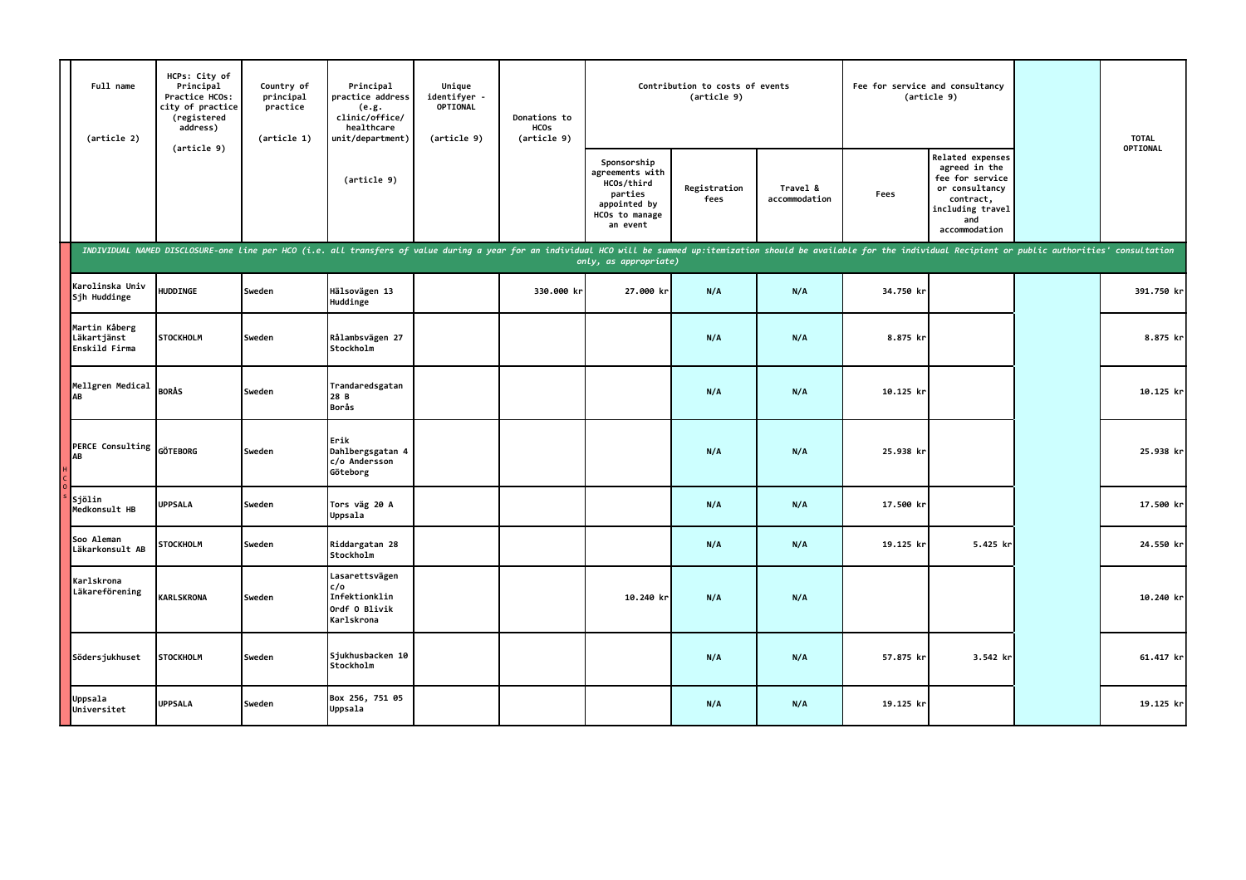| Full name<br>(article 2)                      | HCPs: City of<br>Principal<br>Practice HCOs:<br>city of practice<br>(registered<br>address) | Country of<br>principal<br>practice<br>(article 1) | Principal<br>practice address<br>(e.g.<br>clinic/office/<br>healthcare<br>unit/department)                                                                                                                                     | Unique<br>identifyer -<br>OPTIONAL<br>(article 9) | Donations to<br><b>HCOs</b><br>(article 9) |                                                                                                       | Contribution to costs of events<br>(article 9) |                           |           | Fee for service and consultancy<br>(article 9)                                                                                  | <b>TOTAL</b><br>OPTIONAL |
|-----------------------------------------------|---------------------------------------------------------------------------------------------|----------------------------------------------------|--------------------------------------------------------------------------------------------------------------------------------------------------------------------------------------------------------------------------------|---------------------------------------------------|--------------------------------------------|-------------------------------------------------------------------------------------------------------|------------------------------------------------|---------------------------|-----------|---------------------------------------------------------------------------------------------------------------------------------|--------------------------|
|                                               | (article 9)                                                                                 |                                                    | (article 9)                                                                                                                                                                                                                    |                                                   |                                            | Sponsorship<br>agreements with<br>HCOs/third<br>parties<br>appointed by<br>HCOs to manage<br>an event | Registration<br>fees                           | Travel &<br>accommodation | Fees      | Related expenses<br>agreed in the<br>fee for service<br>or consultancy<br>contract,<br>including travel<br>and<br>accommodation |                          |
|                                               |                                                                                             |                                                    | INDIVIDUAL NAMED DISCLOSURE-one line per HCO (i.e. all transfers of value during a year for an individual HCO will be summed up:itemization should be available for the individual Recipient or public authorities' consultati |                                                   |                                            | only, as appropriate)                                                                                 |                                                |                           |           |                                                                                                                                 |                          |
| Karolinska Univ<br>Sjh Huddinge               | HUDDINGE                                                                                    | Sweden                                             | Hälsovägen 13<br>Huddinge                                                                                                                                                                                                      |                                                   | 330.000 kr                                 | 27.000 kr                                                                                             | N/A                                            | N/A                       | 34.750 kr |                                                                                                                                 | 391.750 kr               |
| Martin Kåberg<br>Läkartjänst<br>Enskild Firma | <b>STOCKHOLM</b>                                                                            | Sweden                                             | Rålambsvägen 27<br>Stockholm                                                                                                                                                                                                   |                                                   |                                            |                                                                                                       | N/A                                            | N/A                       | 8.875 kr  |                                                                                                                                 | 8.875 kr                 |
| Mellgren Medical<br>AB                        | <b>BORÅS</b>                                                                                | Sweden                                             | Trandaredsgatan<br>28 B<br>Borås                                                                                                                                                                                               |                                                   |                                            |                                                                                                       | N/A                                            | N/A                       | 10.125 kr |                                                                                                                                 | 10.125 kr                |
| PERCE Consulting<br>AB                        | <b>GÖTEBORG</b>                                                                             | Sweden                                             | Erik<br>Dahlbergsgatan 4<br>c/o Andersson<br>Göteborg                                                                                                                                                                          |                                                   |                                            |                                                                                                       | N/A                                            | N/A                       | 25.938 kr |                                                                                                                                 | 25.938 kr                |
| Sjölin<br>Medkonsult HB                       | <b>UPPSALA</b>                                                                              | Sweden                                             | Tors väg 20 A<br>Uppsala                                                                                                                                                                                                       |                                                   |                                            |                                                                                                       | N/A                                            | N/A                       | 17.500 kr |                                                                                                                                 | 17.500 kr                |
| Soo Aleman<br>Läkarkonsult AB                 | <b>STOCKHOLM</b>                                                                            | Sweden                                             | Riddargatan 28<br>Stockholm                                                                                                                                                                                                    |                                                   |                                            |                                                                                                       | N/A                                            | N/A                       | 19.125 kr | 5.425 kr                                                                                                                        | 24.550 kr                |
| Karlskrona<br>Läkareförening                  | <b>KARLSKRONA</b>                                                                           | Sweden                                             | Lasarettsvägen<br>c/o<br>Infektionklin<br>Ordf O Blivik<br>Karlskrona                                                                                                                                                          |                                                   |                                            | 10.240 kr                                                                                             | N/A                                            | N/A                       |           |                                                                                                                                 | 10.240 kr                |
| Södersjukhuset                                | <b>STOCKHOLM</b>                                                                            | Sweden                                             | Sjukhusbacken 10<br>Stockholm                                                                                                                                                                                                  |                                                   |                                            |                                                                                                       | N/A                                            | N/A                       | 57.875 kr | 3.542 kr                                                                                                                        | 61.417 kr                |
| Uppsala<br>Universitet                        | <b>UPPSALA</b>                                                                              | Sweden                                             | Box 256, 751 05<br>Uppsala                                                                                                                                                                                                     |                                                   |                                            |                                                                                                       | N/A                                            | N/A                       | 19.125 kr |                                                                                                                                 | 19.125 kr                |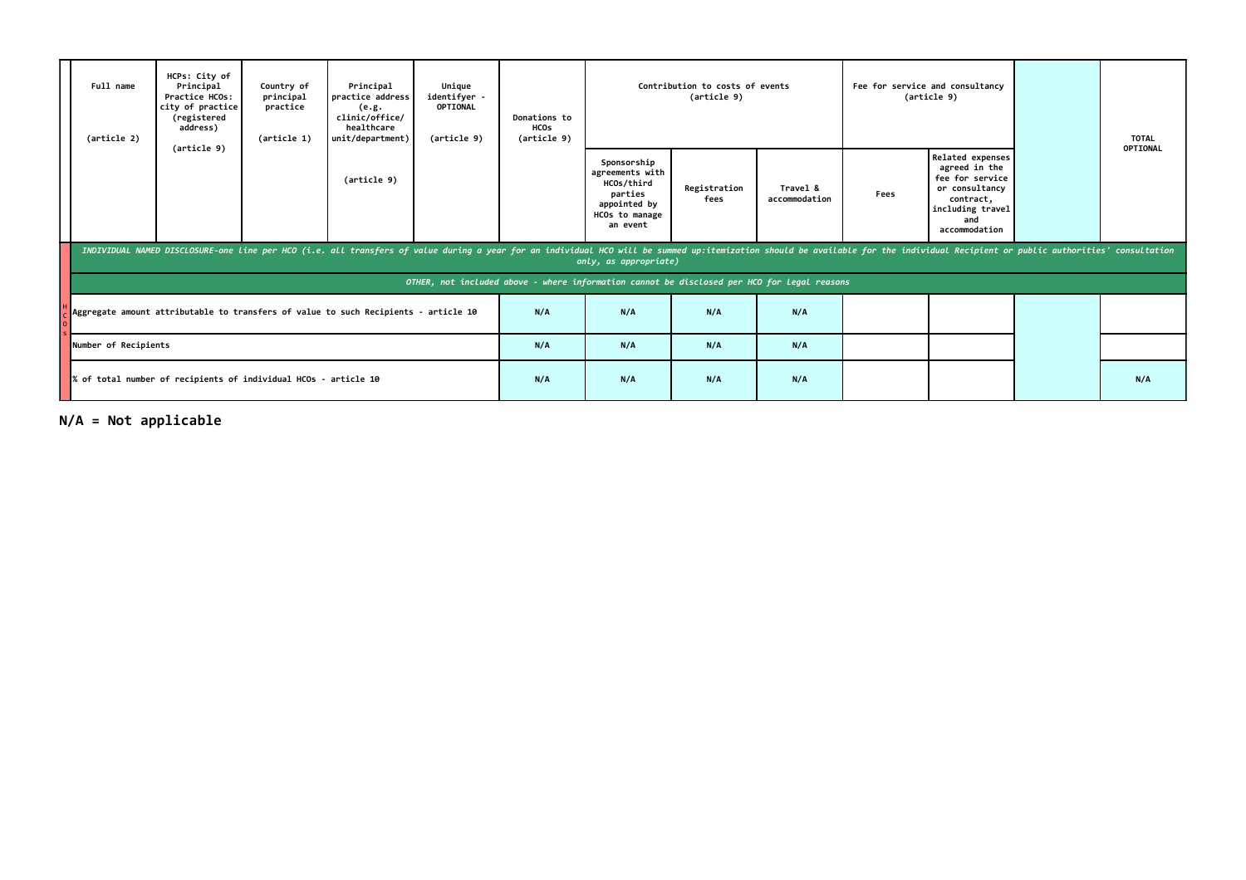|                                                                                     | Full name<br>(article 2) | HCPs: City of<br>Principal<br>Principal<br>Unique<br>Country of<br><b>I</b> practice address<br>identifver -<br>Practice HCOs:<br>principal<br><b>OPTIONAL</b><br>city of practice<br>practice<br>(e.g.<br>(registered<br>clinic/office/<br>address)<br>healthcare<br>(article 1)<br>unit/department)<br>(article 9)<br>(article 9) |  |                                                                                                                                                                                                                                | Donations to<br><b>HCOs</b><br>(article 9) |     | Contribution to costs of events<br>(article 9)                                                        |                      |                           | Fee for service and consultancy<br>(article 9) | <b>TOTAL</b><br>OPTIONAL                                                                                                               |  |
|-------------------------------------------------------------------------------------|--------------------------|-------------------------------------------------------------------------------------------------------------------------------------------------------------------------------------------------------------------------------------------------------------------------------------------------------------------------------------|--|--------------------------------------------------------------------------------------------------------------------------------------------------------------------------------------------------------------------------------|--------------------------------------------|-----|-------------------------------------------------------------------------------------------------------|----------------------|---------------------------|------------------------------------------------|----------------------------------------------------------------------------------------------------------------------------------------|--|
|                                                                                     |                          |                                                                                                                                                                                                                                                                                                                                     |  | (article 9)                                                                                                                                                                                                                    |                                            |     | Sponsorship<br>agreements with<br>HCOs/third<br>parties<br>appointed by<br>HCOs to manage<br>an event | Registration<br>fees | Travel &<br>accommodation | Fees                                           | <b>Related expenses</b><br>agreed in the<br>fee for service<br>or consultancy<br>contract,<br>including travel<br>and<br>accommodation |  |
|                                                                                     |                          |                                                                                                                                                                                                                                                                                                                                     |  | INDIVIDUAL NAMED DISCLOSURE-one line per HCO (i.e. all transfers of value during a year for an individual HCO will be summed up:itemization should be available for the individual Recipient or public authorities' consultati |                                            |     | only, as appropriate)                                                                                 |                      |                           |                                                |                                                                                                                                        |  |
|                                                                                     |                          |                                                                                                                                                                                                                                                                                                                                     |  |                                                                                                                                                                                                                                |                                            |     | OTHER, not included above - where information cannot be disclosed per HCO for legal reasons           |                      |                           |                                                |                                                                                                                                        |  |
| Aggregate amount attributable to transfers of value to such Recipients - article 10 |                          |                                                                                                                                                                                                                                                                                                                                     |  |                                                                                                                                                                                                                                |                                            | N/A | N/A                                                                                                   | N/A                  | N/A                       |                                                |                                                                                                                                        |  |
| Number of Recipients                                                                |                          |                                                                                                                                                                                                                                                                                                                                     |  |                                                                                                                                                                                                                                | N/A                                        | N/A | N/A                                                                                                   | N/A                  |                           |                                                |                                                                                                                                        |  |
| % of total number of recipients of individual HCOs - article 10                     |                          |                                                                                                                                                                                                                                                                                                                                     |  |                                                                                                                                                                                                                                | N/A                                        | N/A | N/A                                                                                                   | N/A                  |                           |                                                | N/A                                                                                                                                    |  |

**N/A = Not applicable**